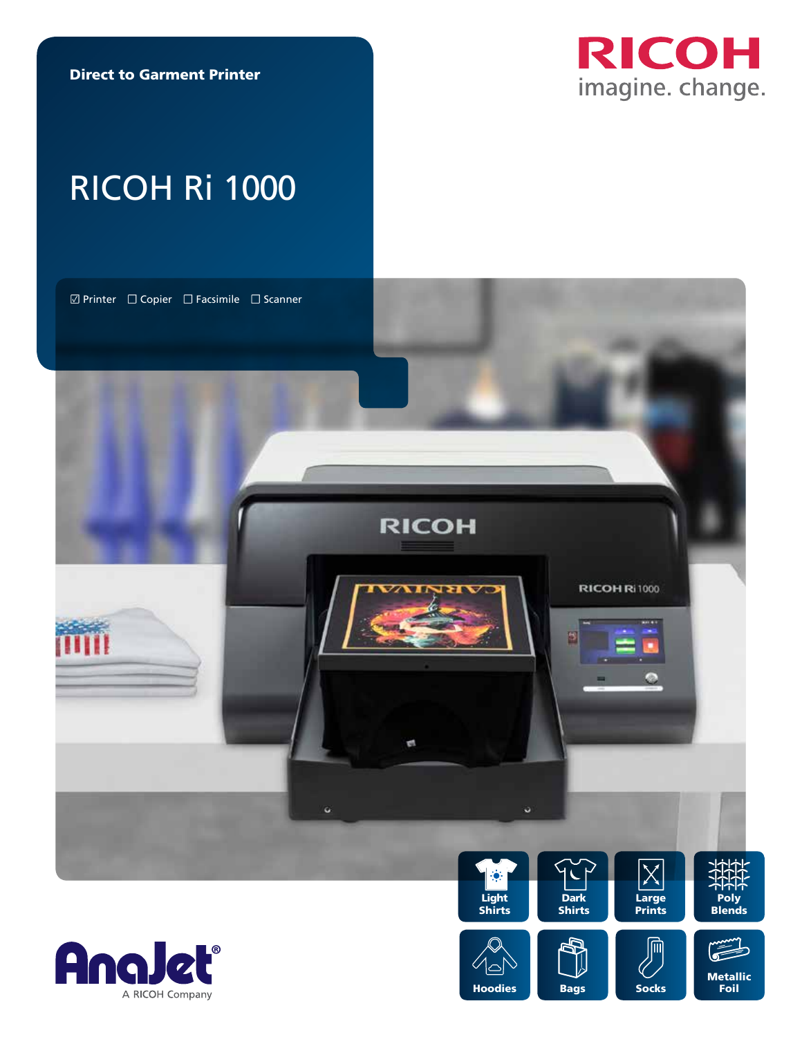Direct to Garment Printer



# RICOH Ri 1000







**Hoodies**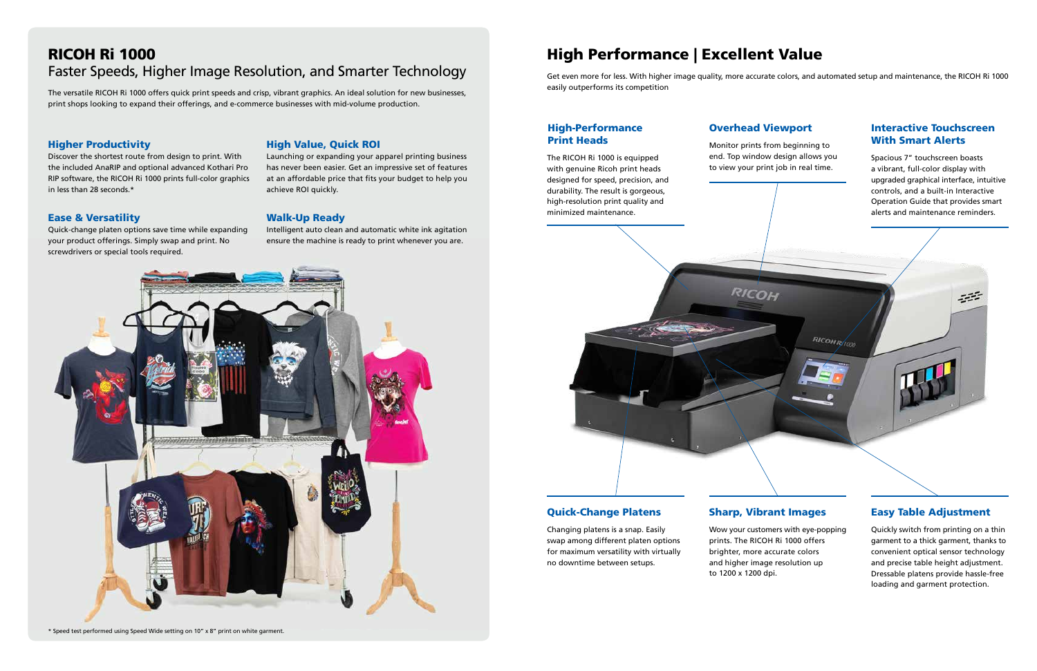## RICOH Ri 1000 Faster Speeds, Higher Image Resolution, and Smarter Technology

The versatile RICOH Ri 1000 offers quick print speeds and crisp, vibrant graphics. An ideal solution for new businesses, print shops looking to expand their offerings, and e-commerce businesses with mid-volume production.

### Higher Productivity

Discover the shortest route from design to print. With the included AnaRIP and optional advanced Kothari Pro RIP software, the RICOH Ri 1000 prints full-color graphics in less than 28 seconds.\*

#### Ease & Versatility

Quick-change platen options save time while expanding your product offerings. Simply swap and print. No screwdrivers or special tools required.

\* Speed test performed using Speed Wide setting on 10" x 8" print on white garment.

### High Value, Quick ROI

Launching or expanding your apparel printing business has never been easier. Get an impressive set of features at an affordable price that fits your budget to help you achieve ROI quickly.

#### Walk-Up Ready

Intelligent auto clean and automatic white ink agitation ensure the machine is ready to print whenever you are.



Monitor prints from beginning to end. Top window design allows you to view your print job in real time.



The RICOH Ri 1000 is equipped with genuine Ricoh print heads designed for speed, precision, and durability. The result is gorgeous, high-resolution print quality and minimized maintenance.

Quickly switch from printing on a thin garment to a thick garment, thanks to convenient optical sensor technology and precise table height adjustment. Dressable platens provide hassle-free loading and garment protection.

Spacious 7" touchscreen boasts a vibrant, full-color display with upgraded graphical interface, intuitive controls, and a built-in Interactive Operation Guide that provides smart alerts and maintenance reminders.

挂

Wow your customers with eye-popping prints. The RICOH Ri 1000 offers brighter, more accurate colors and higher image resolution up to 1200 x 1200 dpi.

RICOHRAND

Changing platens is a snap. Easily swap among different platen options for maximum versatility with virtually no downtime between setups.

### High-Performance Overhead Viewport Print Heads

### Easy Table Adjustment

#### Interactive Touchscreen With Smart Alerts

#### Quick-Change Platens Sharp, Vibrant Images

## High Performance | Excellent Value

Get even more for less. With higher image quality, more accurate colors, and automated setup and maintenance, the RICOH Ri 1000 easily outperforms its competition